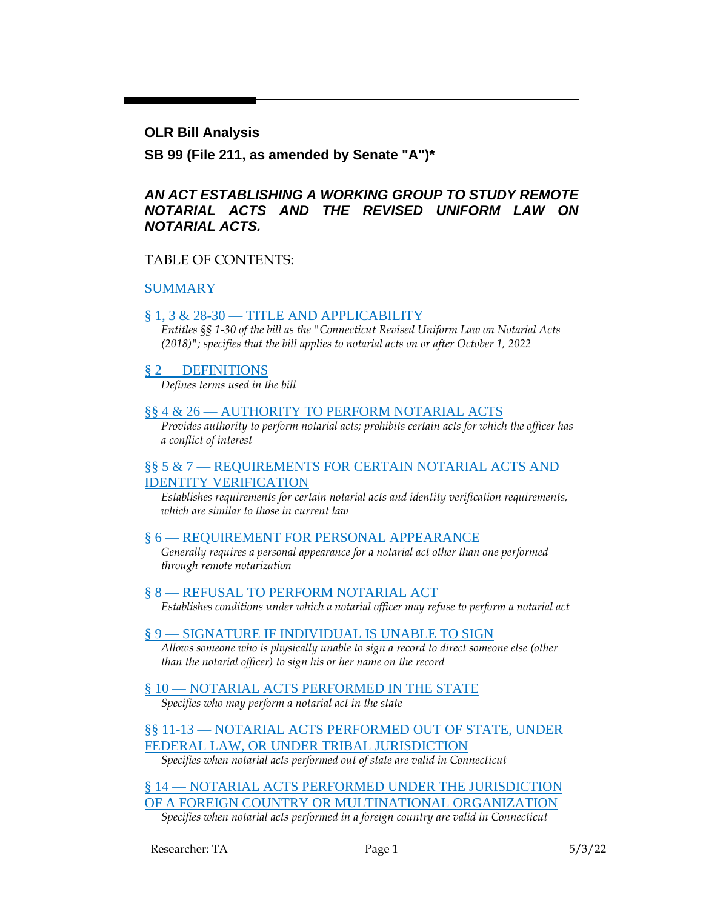#### **OLR Bill Analysis**

**SB 99 (File 211, as amended by Senate "A")\***

#### *AN ACT ESTABLISHING A WORKING GROUP TO STUDY REMOTE NOTARIAL ACTS AND THE REVISED UNIFORM LAW ON NOTARIAL ACTS.*

#### TABLE OF CONTENTS:

#### [SUMMARY](#page-1-0)

#### § 1, 3 & 28-30 - [TITLE AND APPLICABILITY](#page-2-0)

*Entitles §§ 1-30 of the bill as the "Connecticut Revised Uniform Law on Notarial Acts (2018)"; specifies that the bill applies to notarial acts on or after October 1, 2022*

#### § 2 — [DEFINITIONS](#page-3-0)

*Defines terms used in the bill*

#### §§ 4 & 26 — [AUTHORITY TO PERFORM NOTARIAL ACTS](#page-3-1)

*Provides authority to perform notarial acts; prohibits certain acts for which the officer has a conflict of interest*

#### §§ 5 & 7 — [REQUIREMENTS FOR CERTAIN NOTARIAL ACTS AND](#page-4-0)  [IDENTITY VERIFICATION](#page-4-0)

*Establishes requirements for certain notarial acts and identity verification requirements, which are similar to those in current law*

#### § 6 — [REQUIREMENT FOR PERSONAL APPEARANCE](#page-4-1)

*Generally requires a personal appearance for a notarial act other than one performed through remote notarization*

#### § 8 — [REFUSAL TO PERFORM NOTARIAL ACT](#page-5-0)

*Establishes conditions under which a notarial officer may refuse to perform a notarial act*

#### § 9 — [SIGNATURE IF INDIVIDUAL IS UNABLE TO SIGN](#page-5-1)

*Allows someone who is physically unable to sign a record to direct someone else (other than the notarial officer) to sign his or her name on the record*

#### § 10 — [NOTARIAL ACTS PERFORMED IN THE STATE](#page-5-2)

*Specifies who may perform a notarial act in the state*

§§ 11-13 — [NOTARIAL ACTS PERFORMED OUT OF STATE, UNDER](#page-6-0)  [FEDERAL LAW, OR UNDER TRIBAL JURISDICTION](#page-6-0)

*Specifies when notarial acts performed out of state are valid in Connecticut*

§ 14 — [NOTARIAL ACTS PERFORMED UNDER THE JURISDICTION](#page-6-1)  [OF A FOREIGN COUNTRY OR MULTINATIONAL ORGANIZATION](#page-6-1)

*Specifies when notarial acts performed in a foreign country are valid in Connecticut*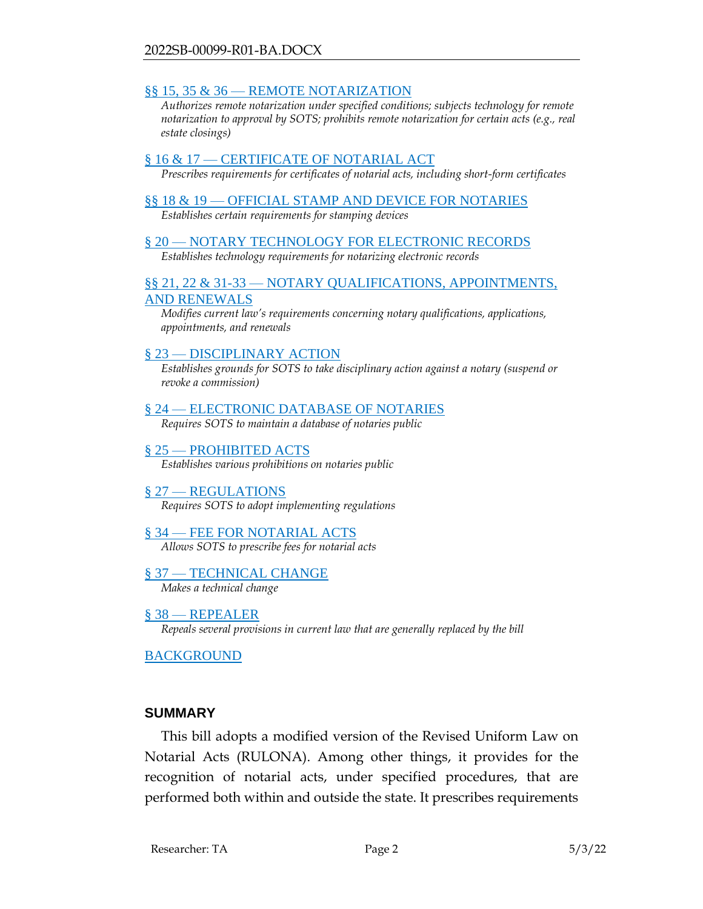#### §§ 15, 35 & 36 — [REMOTE NOTARIZATION](#page-7-0)

*Authorizes remote notarization under specified conditions; subjects technology for remote notarization to approval by SOTS; prohibits remote notarization for certain acts (e.g., real estate closings)*

#### § 16 & 17 — [CERTIFICATE OF NOTARIAL ACT](#page-10-0)

*Prescribes requirements for certificates of notarial acts, including short-form certificates*

#### §§ 18 & 19 — [OFFICIAL STAMP AND DEVICE FOR NOTARIES](#page-10-1) *Establishes certain requirements for stamping devices*

# § 20 — [NOTARY TECHNOLOGY FOR ELECTRONIC RECORDS](#page-10-2)

*Establishes technology requirements for notarizing electronic records*

#### §§ 21, 22 & 31-33 — [NOTARY QUALIFICATIONS, APPOINTMENTS,](#page-11-0)  [AND RENEWALS](#page-11-0)

*Modifies current law's requirements concerning notary qualifications, applications, appointments, and renewals*

#### § 23 — [DISCIPLINARY ACTION](#page-12-0)

*Establishes grounds for SOTS to take disciplinary action against a notary (suspend or revoke a commission)*

#### § 24 — [ELECTRONIC DATABASE OF NOTARIES](#page-13-0)

*Requires SOTS to maintain a database of notaries public*

#### § 25 — [PROHIBITED ACTS](#page-13-1)

*Establishes various prohibitions on notaries public*

#### § 27 – [REGULATIONS](#page-13-2) *Requires SOTS to adopt implementing regulations*

#### § 34 — [FEE FOR NOTARIAL ACTS](#page-14-0) *Allows SOTS to prescribe fees for notarial acts*

#### § 37 — [TECHNICAL CHANGE](#page-14-1) *Makes a technical change*

§ 38 — [REPEALER](#page-14-2) *Repeals several provisions in current law that are generally replaced by the bill*

#### [BACKGROUND](#page-15-0)

#### <span id="page-1-0"></span>**SUMMARY**

This bill adopts a modified version of the Revised Uniform Law on Notarial Acts (RULONA). Among other things, it provides for the recognition of notarial acts, under specified procedures, that are performed both within and outside the state. It prescribes requirements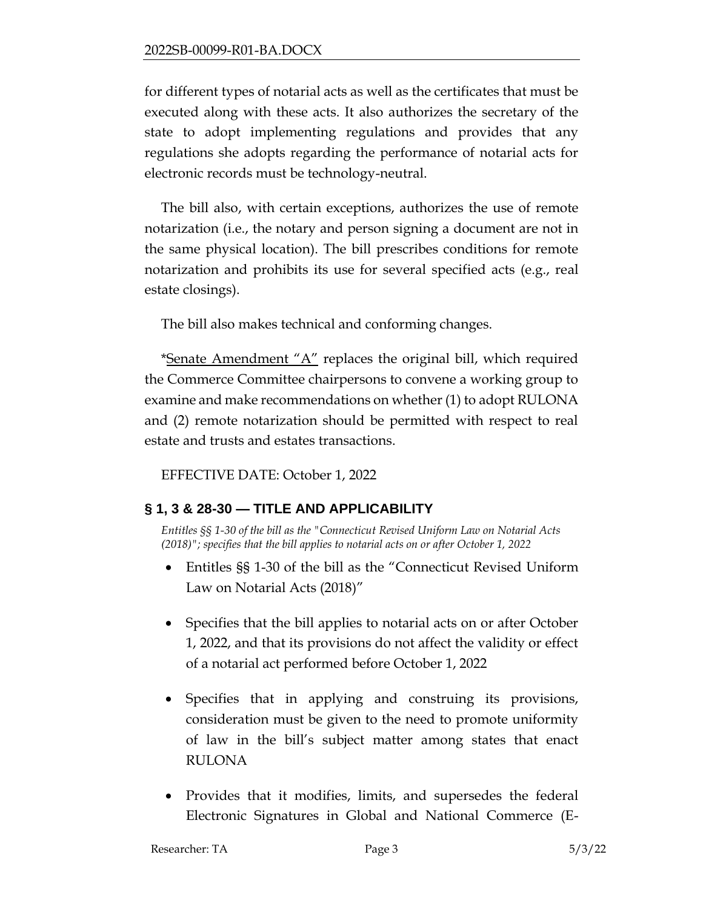for different types of notarial acts as well as the certificates that must be executed along with these acts. It also authorizes the secretary of the state to adopt implementing regulations and provides that any regulations she adopts regarding the performance of notarial acts for electronic records must be technology-neutral.

The bill also, with certain exceptions, authorizes the use of remote notarization (i.e., the notary and person signing a document are not in the same physical location). The bill prescribes conditions for remote notarization and prohibits its use for several specified acts (e.g., real estate closings).

The bill also makes technical and conforming changes.

\*Senate Amendment "A" replaces the original bill, which required the Commerce Committee chairpersons to convene a working group to examine and make recommendations on whether (1) to adopt RULONA and (2) remote notarization should be permitted with respect to real estate and trusts and estates transactions.

EFFECTIVE DATE: October 1, 2022

## <span id="page-2-0"></span>**§ 1, 3 & 28-30 — TITLE AND APPLICABILITY**

*Entitles §§ 1-30 of the bill as the "Connecticut Revised Uniform Law on Notarial Acts (2018)"; specifies that the bill applies to notarial acts on or after October 1, 2022*

- Entitles §§ 1-30 of the bill as the "Connecticut Revised Uniform Law on Notarial Acts (2018)"
- Specifies that the bill applies to notarial acts on or after October 1, 2022, and that its provisions do not affect the validity or effect of a notarial act performed before October 1, 2022
- Specifies that in applying and construing its provisions, consideration must be given to the need to promote uniformity of law in the bill's subject matter among states that enact RULONA
- Provides that it modifies, limits, and supersedes the federal Electronic Signatures in Global and National Commerce (E-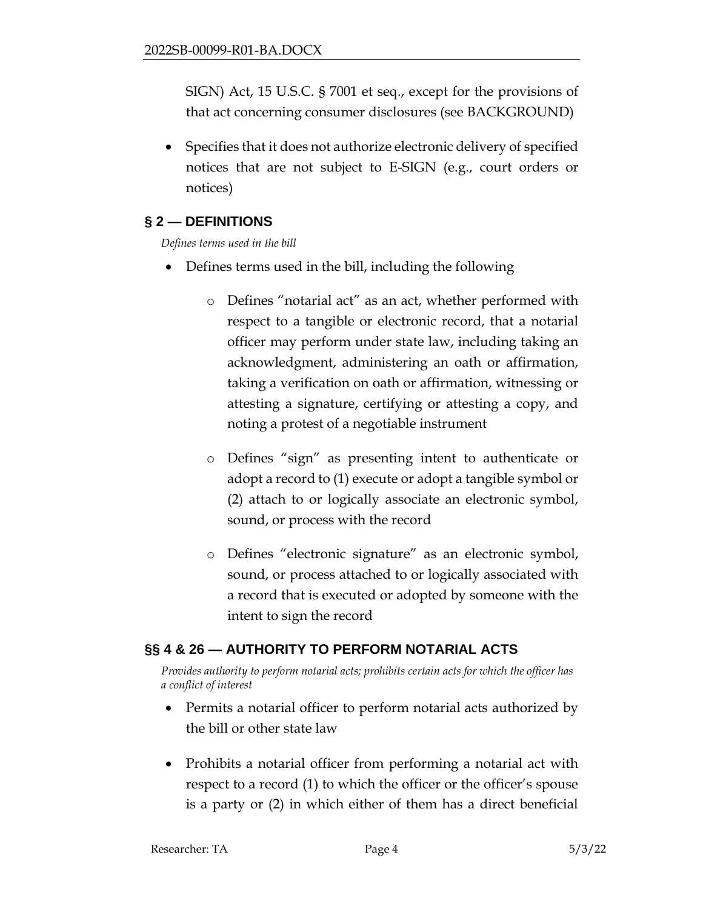SIGN) Act, 15 U.S.C. § 7001 et seq., except for the provisions of that act concerning consumer disclosures (see BACKGROUND)

• Specifies that it does not authorize electronic delivery of specified notices that are not subject to E-SIGN (e.g., court orders or notices)

## <span id="page-3-0"></span>**§ 2 — DEFINITIONS**

*Defines terms used in the bill*

- Defines terms used in the bill, including the following
	- o Defines "notarial act" as an act, whether performed with respect to a tangible or electronic record, that a notarial officer may perform under state law, including taking an acknowledgment, administering an oath or affirmation, taking a verification on oath or affirmation, witnessing or attesting a signature, certifying or attesting a copy, and noting a protest of a negotiable instrument
	- o Defines "sign" as presenting intent to authenticate or adopt a record to (1) execute or adopt a tangible symbol or (2) attach to or logically associate an electronic symbol, sound, or process with the record
	- o Defines "electronic signature" as an electronic symbol, sound, or process attached to or logically associated with a record that is executed or adopted by someone with the intent to sign the record

### <span id="page-3-1"></span>**§§ 4 & 26 — AUTHORITY TO PERFORM NOTARIAL ACTS**

*Provides authority to perform notarial acts; prohibits certain acts for which the officer has a conflict of interest*

- Permits a notarial officer to perform notarial acts authorized by the bill or other state law
- Prohibits a notarial officer from performing a notarial act with respect to a record (1) to which the officer or the officer's spouse is a party or (2) in which either of them has a direct beneficial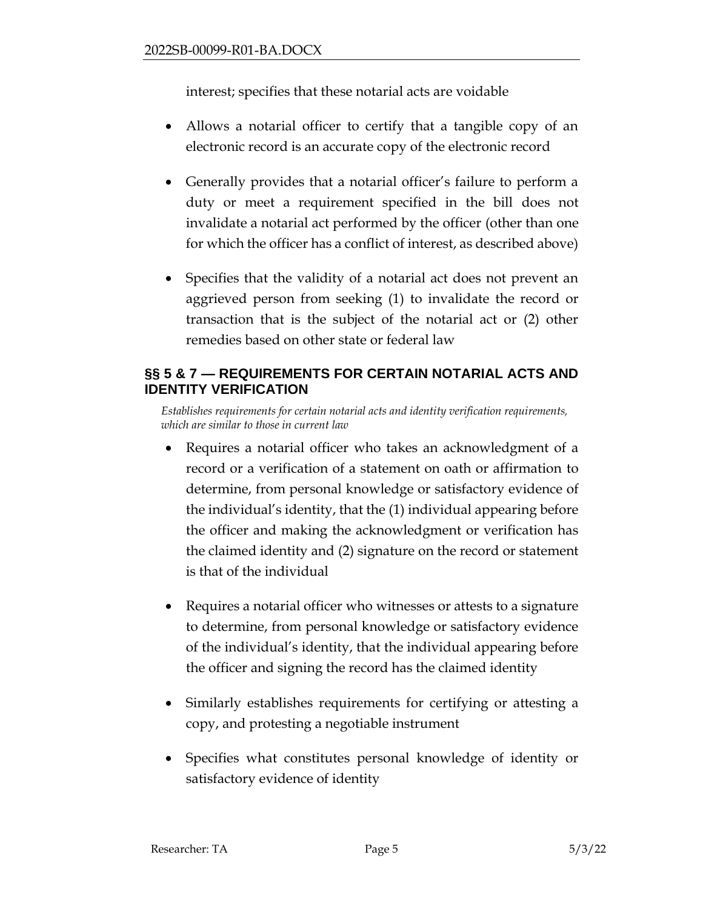interest; specifies that these notarial acts are voidable

- Allows a notarial officer to certify that a tangible copy of an electronic record is an accurate copy of the electronic record
- Generally provides that a notarial officer's failure to perform a duty or meet a requirement specified in the bill does not invalidate a notarial act performed by the officer (other than one for which the officer has a conflict of interest, as described above)
- Specifies that the validity of a notarial act does not prevent an aggrieved person from seeking (1) to invalidate the record or transaction that is the subject of the notarial act or (2) other remedies based on other state or federal law

## <span id="page-4-0"></span>**§§ 5 & 7 — REQUIREMENTS FOR CERTAIN NOTARIAL ACTS AND IDENTITY VERIFICATION**

*Establishes requirements for certain notarial acts and identity verification requirements, which are similar to those in current law*

- Requires a notarial officer who takes an acknowledgment of a record or a verification of a statement on oath or affirmation to determine, from personal knowledge or satisfactory evidence of the individual's identity, that the (1) individual appearing before the officer and making the acknowledgment or verification has the claimed identity and (2) signature on the record or statement is that of the individual
- Requires a notarial officer who witnesses or attests to a signature to determine, from personal knowledge or satisfactory evidence of the individual's identity, that the individual appearing before the officer and signing the record has the claimed identity
- Similarly establishes requirements for certifying or attesting a copy, and protesting a negotiable instrument
- <span id="page-4-1"></span>• Specifies what constitutes personal knowledge of identity or satisfactory evidence of identity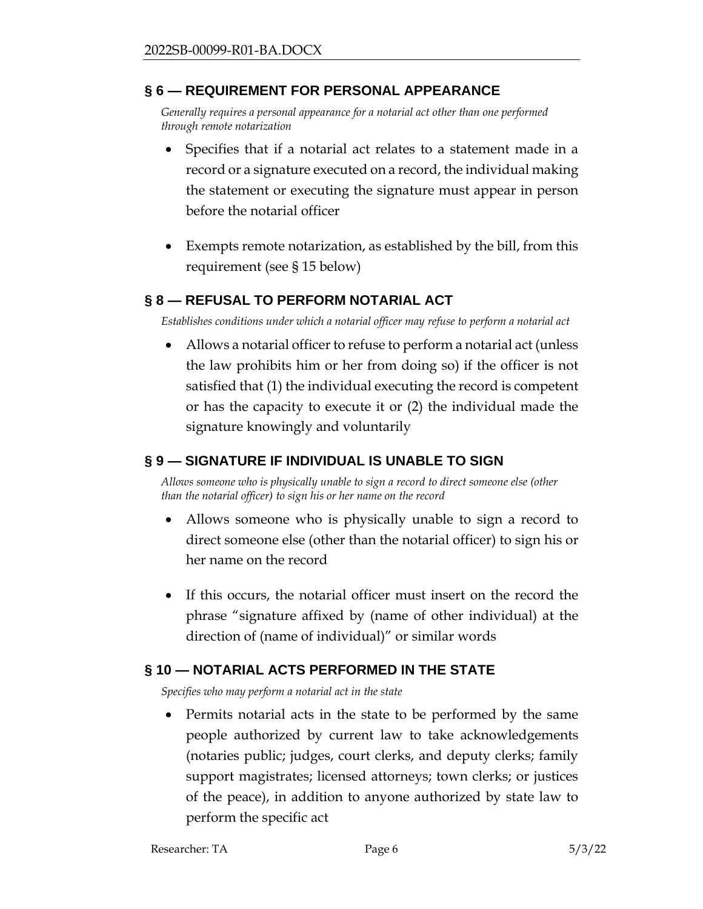### **§ 6 — REQUIREMENT FOR PERSONAL APPEARANCE**

*Generally requires a personal appearance for a notarial act other than one performed through remote notarization*

- Specifies that if a notarial act relates to a statement made in a record or a signature executed on a record, the individual making the statement or executing the signature must appear in person before the notarial officer
- Exempts remote notarization, as established by the bill, from this requirement (see § 15 below)

### <span id="page-5-0"></span>**§ 8 — REFUSAL TO PERFORM NOTARIAL ACT**

*Establishes conditions under which a notarial officer may refuse to perform a notarial act*

• Allows a notarial officer to refuse to perform a notarial act (unless the law prohibits him or her from doing so) if the officer is not satisfied that (1) the individual executing the record is competent or has the capacity to execute it or (2) the individual made the signature knowingly and voluntarily

### <span id="page-5-1"></span>**§ 9 — SIGNATURE IF INDIVIDUAL IS UNABLE TO SIGN**

*Allows someone who is physically unable to sign a record to direct someone else (other than the notarial officer) to sign his or her name on the record*

- Allows someone who is physically unable to sign a record to direct someone else (other than the notarial officer) to sign his or her name on the record
- If this occurs, the notarial officer must insert on the record the phrase "signature affixed by (name of other individual) at the direction of (name of individual)" or similar words

### <span id="page-5-2"></span>**§ 10 — NOTARIAL ACTS PERFORMED IN THE STATE**

*Specifies who may perform a notarial act in the state*

• Permits notarial acts in the state to be performed by the same people authorized by current law to take acknowledgements (notaries public; judges, court clerks, and deputy clerks; family support magistrates; licensed attorneys; town clerks; or justices of the peace), in addition to anyone authorized by state law to perform the specific act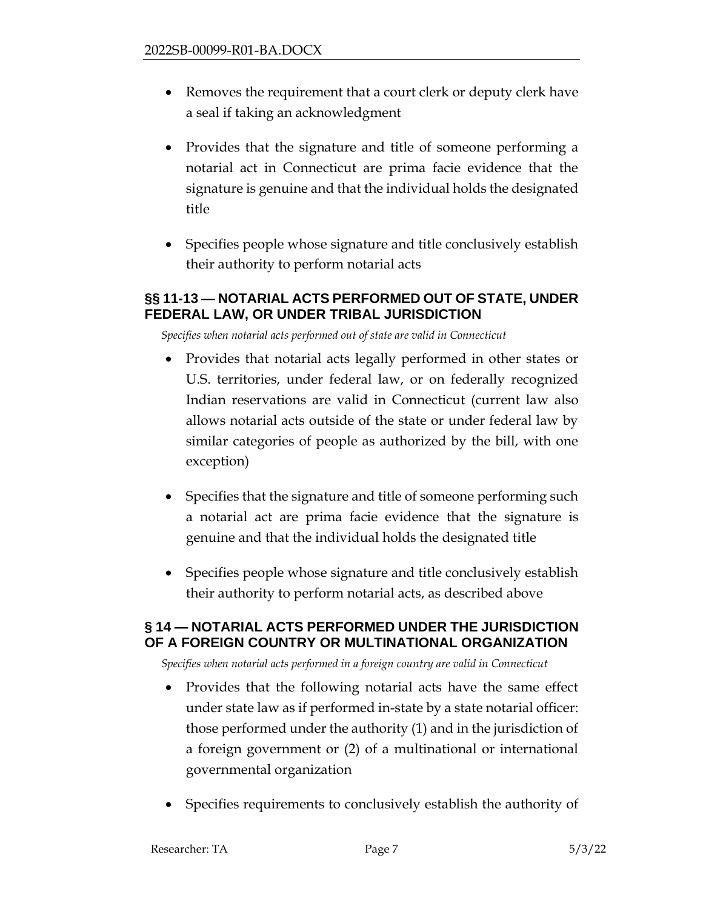- Removes the requirement that a court clerk or deputy clerk have a seal if taking an acknowledgment
- Provides that the signature and title of someone performing a notarial act in Connecticut are prima facie evidence that the signature is genuine and that the individual holds the designated title
- Specifies people whose signature and title conclusively establish their authority to perform notarial acts

### <span id="page-6-0"></span>**§§ 11-13 — NOTARIAL ACTS PERFORMED OUT OF STATE, UNDER FEDERAL LAW, OR UNDER TRIBAL JURISDICTION**

*Specifies when notarial acts performed out of state are valid in Connecticut*

- Provides that notarial acts legally performed in other states or U.S. territories, under federal law, or on federally recognized Indian reservations are valid in Connecticut (current law also allows notarial acts outside of the state or under federal law by similar categories of people as authorized by the bill, with one exception)
- Specifies that the signature and title of someone performing such a notarial act are prima facie evidence that the signature is genuine and that the individual holds the designated title
- Specifies people whose signature and title conclusively establish their authority to perform notarial acts, as described above

### <span id="page-6-1"></span>**§ 14 — NOTARIAL ACTS PERFORMED UNDER THE JURISDICTION OF A FOREIGN COUNTRY OR MULTINATIONAL ORGANIZATION**

*Specifies when notarial acts performed in a foreign country are valid in Connecticut*

- Provides that the following notarial acts have the same effect under state law as if performed in-state by a state notarial officer: those performed under the authority (1) and in the jurisdiction of a foreign government or (2) of a multinational or international governmental organization
- Specifies requirements to conclusively establish the authority of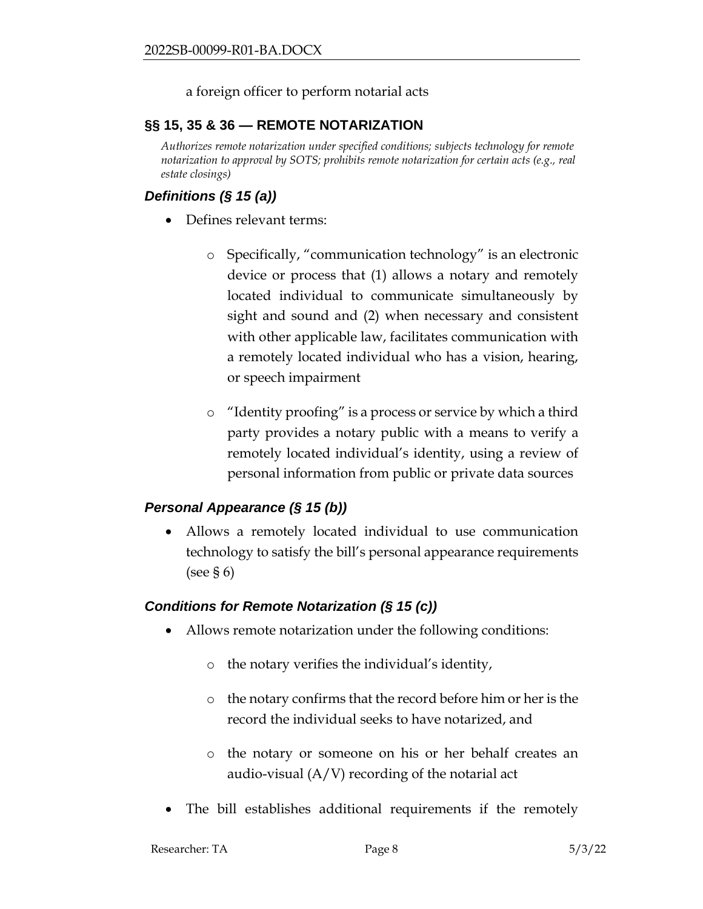### a foreign officer to perform notarial acts

### <span id="page-7-0"></span>**§§ 15, 35 & 36 — REMOTE NOTARIZATION**

*Authorizes remote notarization under specified conditions; subjects technology for remote notarization to approval by SOTS; prohibits remote notarization for certain acts (e.g., real estate closings)*

### *Definitions (§ 15 (a))*

- Defines relevant terms:
	- o Specifically, "communication technology" is an electronic device or process that (1) allows a notary and remotely located individual to communicate simultaneously by sight and sound and (2) when necessary and consistent with other applicable law, facilitates communication with a remotely located individual who has a vision, hearing, or speech impairment
	- o "Identity proofing" is a process or service by which a third party provides a notary public with a means to verify a remotely located individual's identity, using a review of personal information from public or private data sources

### *Personal Appearance (§ 15 (b))*

• Allows a remotely located individual to use communication technology to satisfy the bill's personal appearance requirements (see § 6)

### *Conditions for Remote Notarization (§ 15 (c))*

- Allows remote notarization under the following conditions:
	- o the notary verifies the individual's identity,
	- o the notary confirms that the record before him or her is the record the individual seeks to have notarized, and
	- o the notary or someone on his or her behalf creates an audio-visual (A/V) recording of the notarial act
- The bill establishes additional requirements if the remotely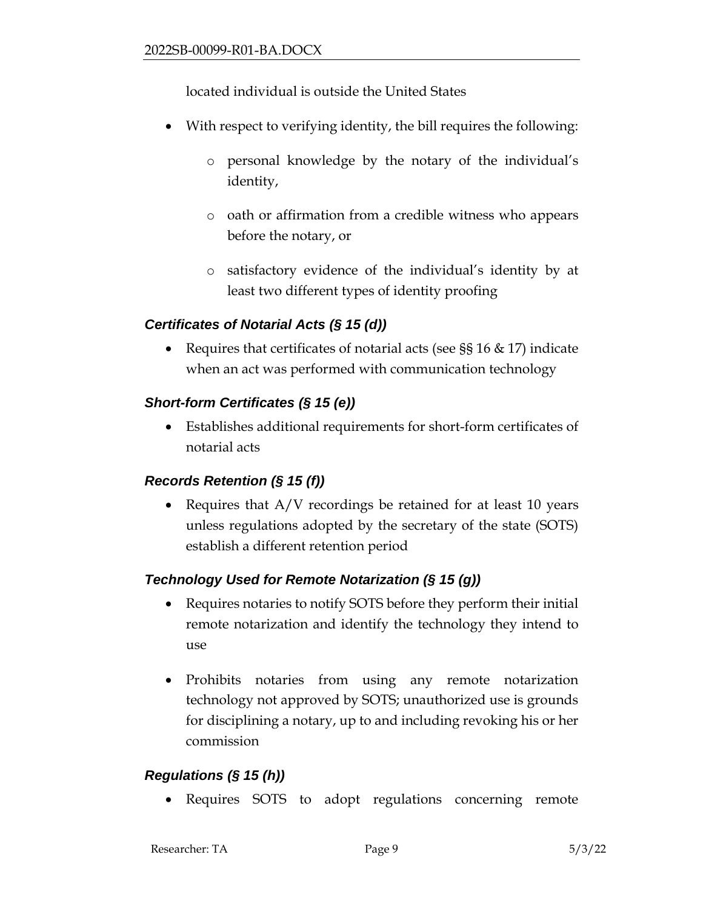located individual is outside the United States

- With respect to verifying identity, the bill requires the following:
	- o personal knowledge by the notary of the individual's identity,
	- o oath or affirmation from a credible witness who appears before the notary, or
	- o satisfactory evidence of the individual's identity by at least two different types of identity proofing

## *Certificates of Notarial Acts (§ 15 (d))*

• Requires that certificates of notarial acts (see  $\S$ § 16 & 17) indicate when an act was performed with communication technology

## *Short-form Certificates (§ 15 (e))*

• Establishes additional requirements for short-form certificates of notarial acts

### *Records Retention (§ 15 (f))*

• Requires that A/V recordings be retained for at least 10 years unless regulations adopted by the secretary of the state (SOTS) establish a different retention period

## *Technology Used for Remote Notarization (§ 15 (g))*

- Requires notaries to notify SOTS before they perform their initial remote notarization and identify the technology they intend to use
- Prohibits notaries from using any remote notarization technology not approved by SOTS; unauthorized use is grounds for disciplining a notary, up to and including revoking his or her commission

## *Regulations (§ 15 (h))*

• Requires SOTS to adopt regulations concerning remote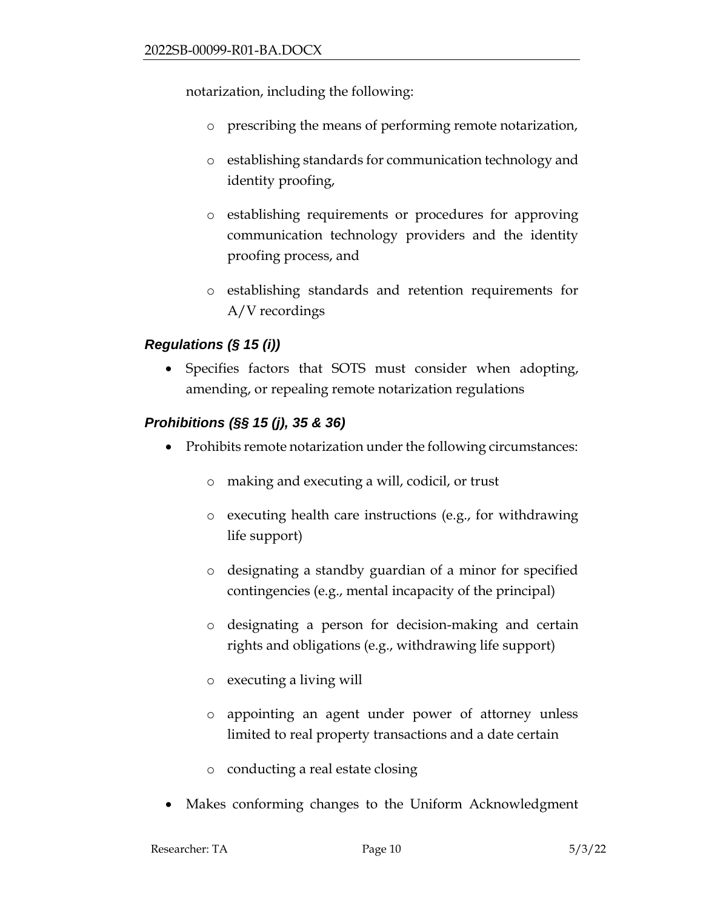notarization, including the following:

- o prescribing the means of performing remote notarization,
- o establishing standards for communication technology and identity proofing,
- o establishing requirements or procedures for approving communication technology providers and the identity proofing process, and
- o establishing standards and retention requirements for A/V recordings

## *Regulations (§ 15 (i))*

• Specifies factors that SOTS must consider when adopting, amending, or repealing remote notarization regulations

## *Prohibitions (§§ 15 (j), 35 & 36)*

- Prohibits remote notarization under the following circumstances:
	- o making and executing a will, codicil, or trust
	- o executing health care instructions (e.g., for withdrawing life support)
	- o designating a standby guardian of a minor for specified contingencies (e.g., mental incapacity of the principal)
	- o designating a person for decision-making and certain rights and obligations (e.g., withdrawing life support)
	- o executing a living will
	- o appointing an agent under power of attorney unless limited to real property transactions and a date certain
	- o conducting a real estate closing
- Makes conforming changes to the Uniform Acknowledgment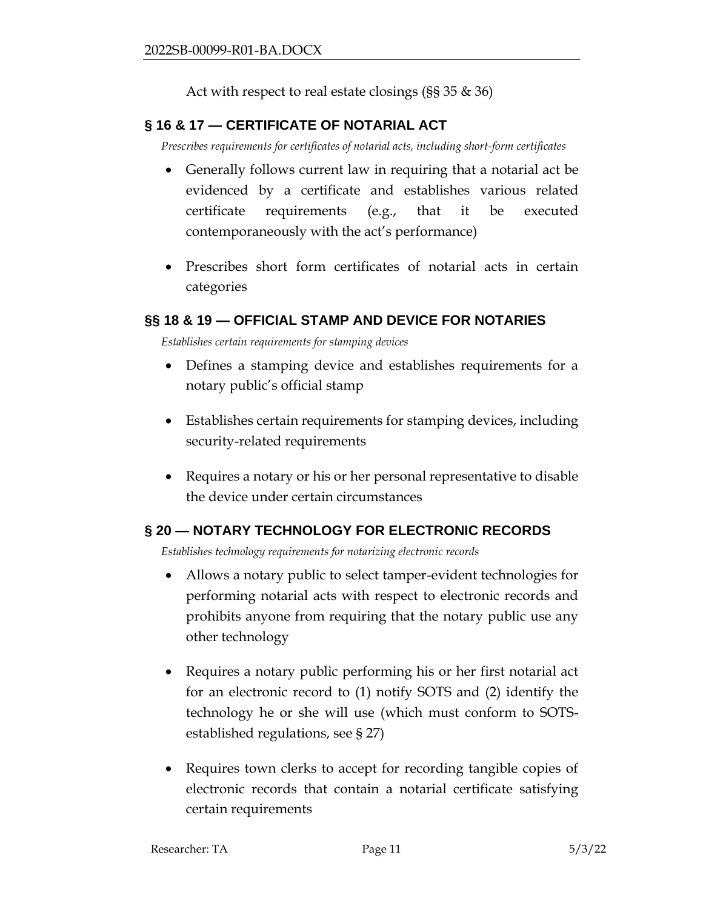Act with respect to real estate closings (§§ 35 & 36)

## <span id="page-10-0"></span>**§ 16 & 17 — CERTIFICATE OF NOTARIAL ACT**

*Prescribes requirements for certificates of notarial acts, including short-form certificates*

- Generally follows current law in requiring that a notarial act be evidenced by a certificate and establishes various related certificate requirements (e.g., that it be executed contemporaneously with the act's performance)
- Prescribes short form certificates of notarial acts in certain categories

### <span id="page-10-1"></span>**§§ 18 & 19 — OFFICIAL STAMP AND DEVICE FOR NOTARIES**

*Establishes certain requirements for stamping devices*

- Defines a stamping device and establishes requirements for a notary public's official stamp
- Establishes certain requirements for stamping devices, including security-related requirements
- Requires a notary or his or her personal representative to disable the device under certain circumstances

### <span id="page-10-2"></span>**§ 20 — NOTARY TECHNOLOGY FOR ELECTRONIC RECORDS**

*Establishes technology requirements for notarizing electronic records*

- Allows a notary public to select tamper-evident technologies for performing notarial acts with respect to electronic records and prohibits anyone from requiring that the notary public use any other technology
- Requires a notary public performing his or her first notarial act for an electronic record to (1) notify SOTS and (2) identify the technology he or she will use (which must conform to SOTSestablished regulations, see § 27)
- Requires town clerks to accept for recording tangible copies of electronic records that contain a notarial certificate satisfying certain requirements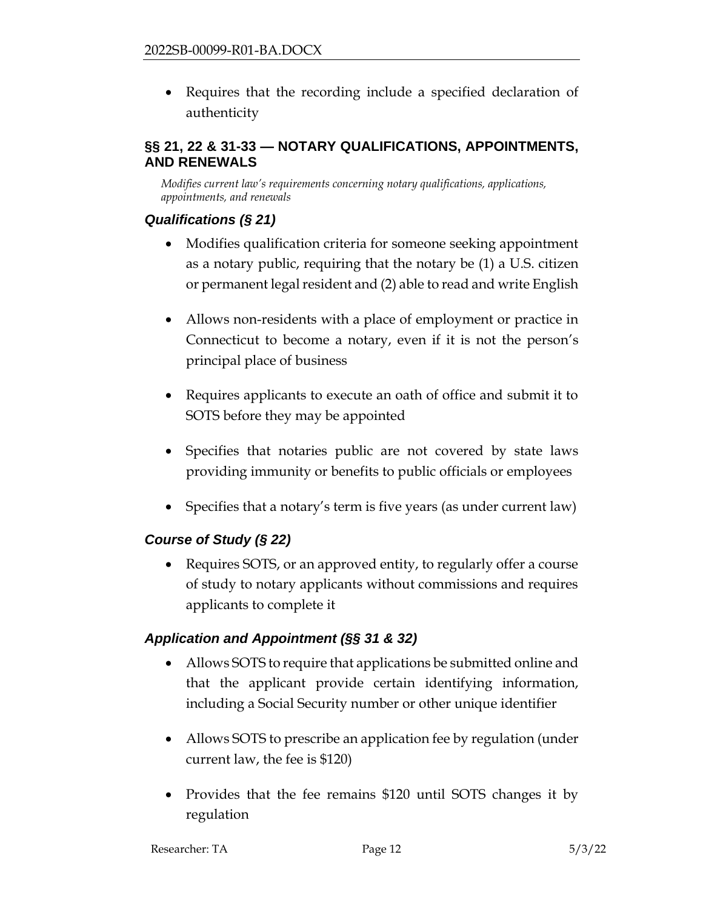• Requires that the recording include a specified declaration of authenticity

## <span id="page-11-0"></span>**§§ 21, 22 & 31-33 — NOTARY QUALIFICATIONS, APPOINTMENTS, AND RENEWALS**

*Modifies current law's requirements concerning notary qualifications, applications, appointments, and renewals*

## *Qualifications (§ 21)*

- Modifies qualification criteria for someone seeking appointment as a notary public, requiring that the notary be (1) a U.S. citizen or permanent legal resident and (2) able to read and write English
- Allows non-residents with a place of employment or practice in Connecticut to become a notary, even if it is not the person's principal place of business
- Requires applicants to execute an oath of office and submit it to SOTS before they may be appointed
- Specifies that notaries public are not covered by state laws providing immunity or benefits to public officials or employees
- Specifies that a notary's term is five years (as under current law)

## *Course of Study (§ 22)*

• Requires SOTS, or an approved entity, to regularly offer a course of study to notary applicants without commissions and requires applicants to complete it

## *Application and Appointment (§§ 31 & 32)*

- Allows SOTS to require that applications be submitted online and that the applicant provide certain identifying information, including a Social Security number or other unique identifier
- Allows SOTS to prescribe an application fee by regulation (under current law, the fee is \$120)
- Provides that the fee remains \$120 until SOTS changes it by regulation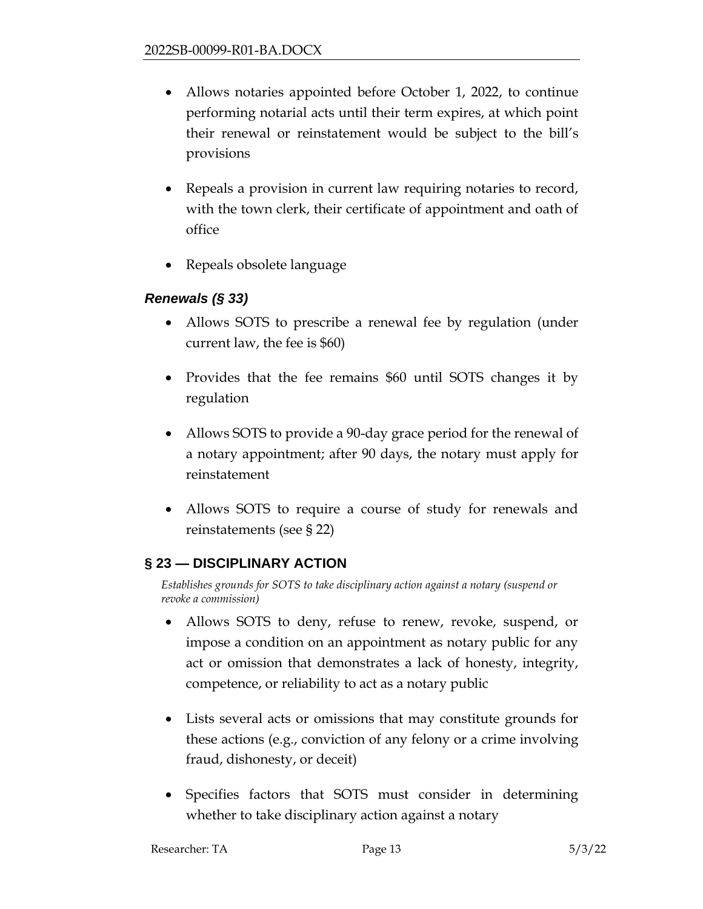- Allows notaries appointed before October 1, 2022, to continue performing notarial acts until their term expires, at which point their renewal or reinstatement would be subject to the bill's provisions
- Repeals a provision in current law requiring notaries to record, with the town clerk, their certificate of appointment and oath of office
- Repeals obsolete language

### *Renewals (§ 33)*

- Allows SOTS to prescribe a renewal fee by regulation (under current law, the fee is \$60)
- Provides that the fee remains \$60 until SOTS changes it by regulation
- Allows SOTS to provide a 90-day grace period for the renewal of a notary appointment; after 90 days, the notary must apply for reinstatement
- Allows SOTS to require a course of study for renewals and reinstatements (see § 22)

### <span id="page-12-0"></span>**§ 23 — DISCIPLINARY ACTION**

*Establishes grounds for SOTS to take disciplinary action against a notary (suspend or revoke a commission)*

- Allows SOTS to deny, refuse to renew, revoke, suspend, or impose a condition on an appointment as notary public for any act or omission that demonstrates a lack of honesty, integrity, competence, or reliability to act as a notary public
- Lists several acts or omissions that may constitute grounds for these actions (e.g., conviction of any felony or a crime involving fraud, dishonesty, or deceit)
- Specifies factors that SOTS must consider in determining whether to take disciplinary action against a notary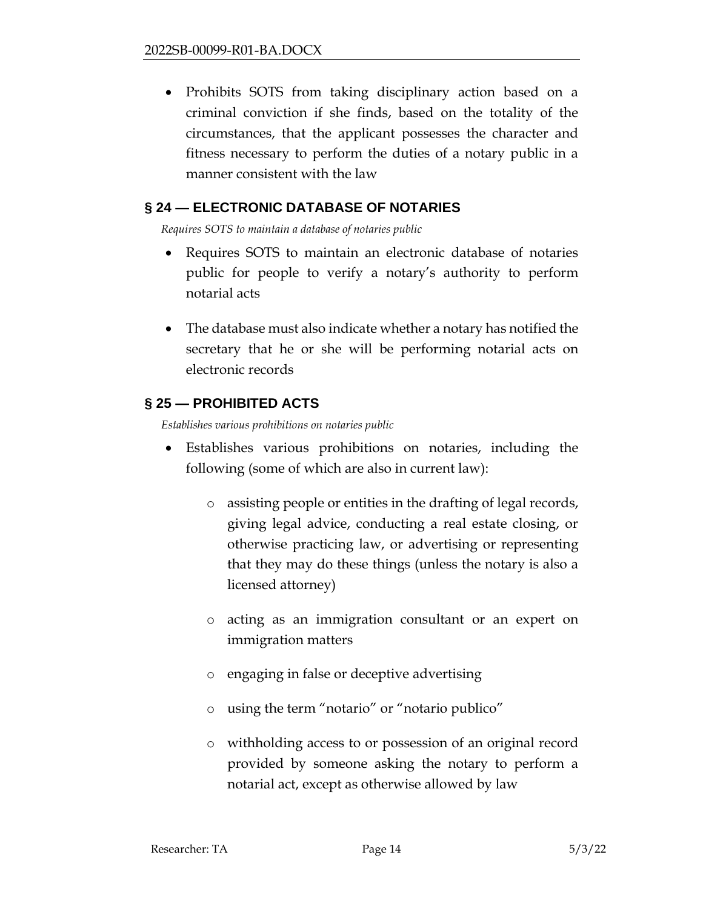• Prohibits SOTS from taking disciplinary action based on a criminal conviction if she finds, based on the totality of the circumstances, that the applicant possesses the character and fitness necessary to perform the duties of a notary public in a manner consistent with the law

### <span id="page-13-0"></span>**§ 24 — ELECTRONIC DATABASE OF NOTARIES**

*Requires SOTS to maintain a database of notaries public*

- Requires SOTS to maintain an electronic database of notaries public for people to verify a notary's authority to perform notarial acts
- The database must also indicate whether a notary has notified the secretary that he or she will be performing notarial acts on electronic records

### <span id="page-13-1"></span>**§ 25 — PROHIBITED ACTS**

*Establishes various prohibitions on notaries public*

- <span id="page-13-2"></span>• Establishes various prohibitions on notaries, including the following (some of which are also in current law):
	- o assisting people or entities in the drafting of legal records, giving legal advice, conducting a real estate closing, or otherwise practicing law, or advertising or representing that they may do these things (unless the notary is also a licensed attorney)
	- o acting as an immigration consultant or an expert on immigration matters
	- o engaging in false or deceptive advertising
	- o using the term "notario" or "notario publico"
	- o withholding access to or possession of an original record provided by someone asking the notary to perform a notarial act, except as otherwise allowed by law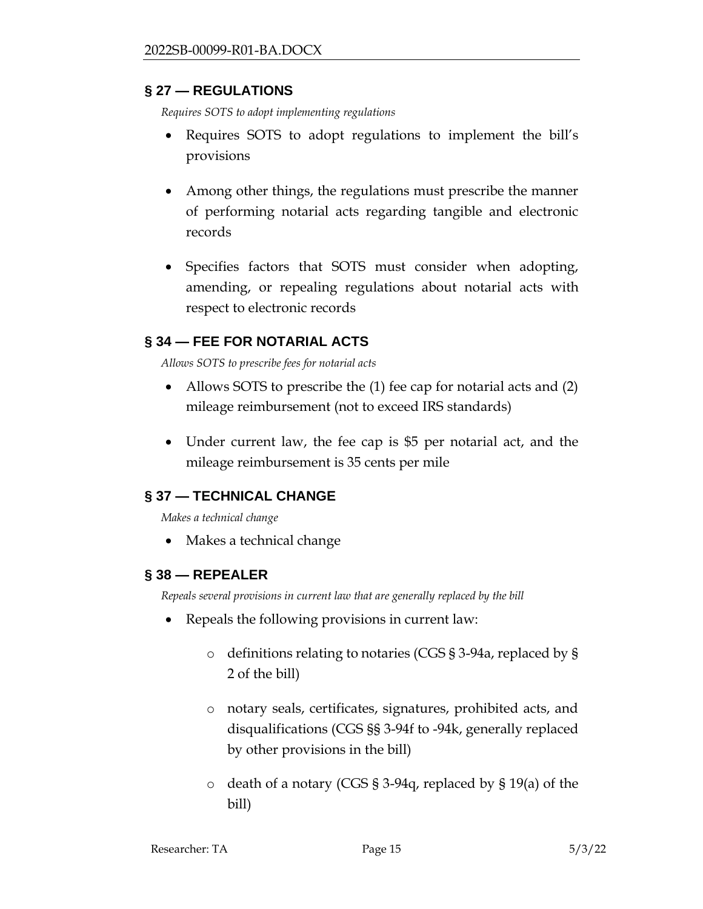### **§ 27 — REGULATIONS**

*Requires SOTS to adopt implementing regulations*

- Requires SOTS to adopt regulations to implement the bill's provisions
- Among other things, the regulations must prescribe the manner of performing notarial acts regarding tangible and electronic records
- Specifies factors that SOTS must consider when adopting, amending, or repealing regulations about notarial acts with respect to electronic records

## <span id="page-14-0"></span>**§ 34 — FEE FOR NOTARIAL ACTS**

*Allows SOTS to prescribe fees for notarial acts*

- Allows SOTS to prescribe the (1) fee cap for notarial acts and (2) mileage reimbursement (not to exceed IRS standards)
- Under current law, the fee cap is \$5 per notarial act, and the mileage reimbursement is 35 cents per mile

### <span id="page-14-1"></span>**§ 37 — TECHNICAL CHANGE**

*Makes a technical change*

• Makes a technical change

### <span id="page-14-2"></span>**§ 38 — REPEALER**

*Repeals several provisions in current law that are generally replaced by the bill*

- Repeals the following provisions in current law:
	- o definitions relating to notaries (CGS § 3-94a, replaced by § 2 of the bill)
	- o notary seals, certificates, signatures, prohibited acts, and disqualifications (CGS §§ 3-94f to -94k, generally replaced by other provisions in the bill)
	- o death of a notary (CGS § 3-94q, replaced by § 19(a) of the bill)